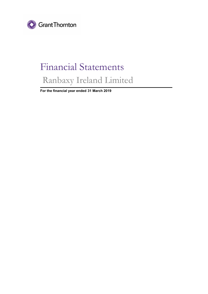

# Financial Statements Ranbaxy Ireland Limited

**For the financial year ended 31 March 2019**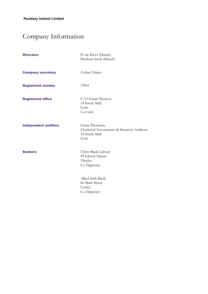## Company Information

| <b>Directors</b>            | H. de Kloet (Dutch)<br>Prashant Savla (Dutch)                                         |
|-----------------------------|---------------------------------------------------------------------------------------|
| <b>Company secretary</b>    | Zoltan Takacs                                                                         |
| <b>Registered number</b>    | 75951                                                                                 |
| <b>Registered office</b>    | C/O Grant Thorton<br>14 South Mall<br>Cork<br>Co.Cork                                 |
| <b>Independent auditors</b> | Grant Thornton<br>Chartered Accountants & Statutory Auditors<br>14 South Mall<br>Cork |
| <b>Bankers</b>              | Ulster Bank Limted<br>49 Liberty Square<br>Thurles<br>Co.Tipperary                    |
|                             | Allied Irish Bank<br>66 Main Street<br>Cashel<br>Co.Tipperary                         |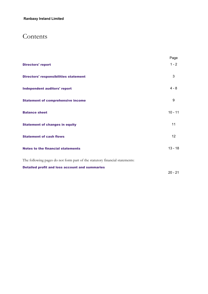### Contents

|                                                                             | Page      |
|-----------------------------------------------------------------------------|-----------|
| <b>Directors' report</b>                                                    | $1 - 2$   |
| <b>Directors' responsibilities statement</b>                                | 3         |
| <b>Independent auditors' report</b>                                         | $4 - 8$   |
| <b>Statement of comprehensive income</b>                                    | 9         |
| <b>Balance sheet</b>                                                        | $10 - 11$ |
| <b>Statement of changes in equity</b>                                       | 11        |
| <b>Statement of cash flows</b>                                              | 12        |
| <b>Notes to the financial statements</b>                                    | $13 - 18$ |
| The following pages do not form part of the statutory financial statements: |           |
| <b>Detailed profit and loss account and summaries</b>                       |           |
|                                                                             | $20 - 21$ |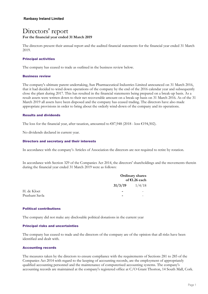### Directors' report **For the financial year ended 31 March 2019**

The directors present their annual report and the audited financial statements for the financial year ended 31 March 2019.

#### **Principal activities**

The company has ceased to trade as outlined in the business review below.

#### **Business review**

The company's ultimate parent undertaking, Sun Pharmaceutical Industries Limited announced on 31 March 2016, that it had decided to wind down operations of the company by the end of the 2016 calendar year and subsequently close the plant during 2017. This has resulted in the financial statements being prepared on a break-up basis. As a result assets were written down to their net recoverable amount on a break-up basis on 31 March 2016. As of the 31 March 2019 all assets have been disposed and the company has ceased trading. The directors have also made appropriate provisions in order to bring about the orderly wind-down of the company and its operations.

#### **Results and dividends**

The loss for the financial year, after taxation, amounted to  $\text{\textsterling}87,948$  (2018 - loss  $\text{\textsterling}194,502$ ).

No dividends declared in current year.

#### **Directors and secretary and their interests**

In accordance with the company's Articles of Association the directors are not required to retire by rotation.

In accordance with Section 329 of the Companies Act 2014, the directors' shareholdings and the movements therein during the financial year ended 31 March 2019 were as follows:

|                |                          | <b>Ordinary shares</b><br>of €1.26 each |
|----------------|--------------------------|-----------------------------------------|
|                | 31/3/19                  | 1/4/18                                  |
| H. de Kloet    | $\overline{\phantom{0}}$ |                                         |
| Prashant Savla | $\overline{\phantom{0}}$ |                                         |

#### **Political contributions**

The company did not make any disclosable political donations in the current year

#### **Principal risks and uncertainties**

The company has ceased to trade and the directors of the company are of the opinion that all risks have been identified and dealt with.

#### **Accounting records**

The measures taken by the directors to ensure compliance with the requirements of Sections 281 to 285 of the Companies Act 2014 with regard to the keeping of accounting records, are the employment of appropriately qualified accounting personnel and the maintenance of computerised accounting systems. The company's accounting records are maintained at the company's registered office at C/O Grant Thorton, 14 South Mall, Cork.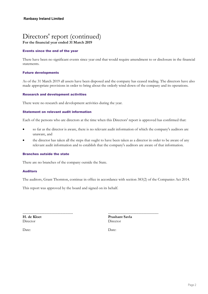## Directors' report (continued)

**For the financial year ended 31 March 2019**

#### **Events since the end of the year**

There have been no significant events since year end that would require amendment to or disclosure in the financial statements.

#### **Future developments**

As of the 31 March 2019 all assets have been disposed and the company has ceased trading. The directors have also made appropriate provisions in order to bring about the orderly wind-down of the company and its operations.

#### **Research and development activities**

There were no research and development activities during the year.

#### **Statement on relevant audit information**

Each of the persons who are directors at the time when this Directors' report is approved has confirmed that:

- so far as the director is aware, there is no relevant audit information of which the company's auditors are unaware, and
- the director has taken all the steps that ought to have been taken as a director in order to be aware of any relevant audit information and to establish that the company's auditors are aware of that information.

#### **Branches outside the state**

There are no branches of the company outside the State.

#### **Auditors**

The auditors, Grant Thornton, continue in office in accordance with section 383(2) of the Companies Act 2014.

This report was approved by the board and signed on its behalf.

................................................ **H. de Kloet Director** 

................................................

**Prashant Savla** Director

Date: Date: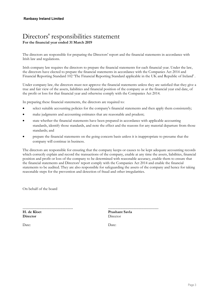### Directors' responsibilities statement **For the financial year ended 31 March 2019**

The directors are responsible for preparing the Directors' report and the financial statements in accordance with Irish law and regulations.

Irish company law requires the directors to prepare the financial statements for each financial year. Under the law, the directors have elected to prepare the financial statements in accordance with the Companies Act 2014 and Financial Reporting Standard 102 'The Financial Reporting Standard applicable in the UK and Republic of Ireland' .

Under company law, the directors must not approve the financial statements unless they are satisfied that they give a true and fair view of the assets, liabilities and financial position of the company as at the financial year end date, of the profit or loss for that financial year and otherwise comply with the Companies Act 2014.

In preparing these financial statements, the directors are required to:

- select suitable accounting policies for the company's financial statements and then apply them consistently;
- make judgments and accounting estimates that are reasonable and prudent;
- state whether the financial statements have been prepared in accordance with applicable accounting standards, identify those standards, and note the effect and the reasons for any material departure from those standards; and
- prepare the financial statements on the going concern basis unless it is inappropriate to presume that the company will continue in business.

The directors are responsible for ensuring that the company keeps or causes to be kept adequate accounting records which correctly explain and record the transactions of the company, enable at any time the assets, liabilities, financial position and profit or loss of the company to be determined with reasonable accuracy, enable them to ensure that the financial statements and Directors' report comply with the Companies Act 2014 and enable the financial statements to be audited. They are also responsible for safeguarding the assets of the company and hence for taking reasonable steps for the prevention and detection of fraud and other irregularities.

On behalf of the board

................................................ **H. de Kloet Director**

................................................ **Prashant Savla** Director

Date: Date: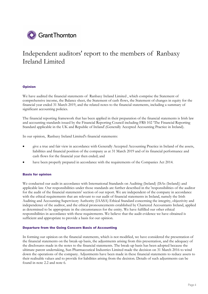

#### **Opinion**

We have audited the financial statements of Ranbaxy Ireland Limited , which comprise the Statement of comprehensive income, the Balance sheet, the Statement of cash flows, the Statement of changes in equity for the financial year ended 31 March 2019, and the related notes to the financial statements, including a summary of significant accounting policies.

The financial reporting framework that has been applied in their preparation of the financial statements is Irish law and accounting standards issued by the Financial Reporting Council including FRS 102 'The Financial Reporting Standard applicable in the UK and Republic of Ireland'.(Generally Accepted Accounting Practice in Ireland).

In our opinion, Ranbaxy Ireland Limited's financial statements:

- give a true and fair view in accordance with Generally Accepted Accounting Practice in Ireland of the assets, liabilities and financial position of the company as at 31 March 2019 and of its financial performance and cash flows for the financial year then ended; and
- have been properly prepared in accordance with the requirements of the Companies Act 2014.

#### **Basis for opinion**

We conducted our audit in accordance with International Standards on Auditing (Ireland) (ISAs (Ireland)) and applicable law. Our responsibilities under those standards are further described in the 'responsibilities of the auditor for the audit of the financial statements' section of our report. We are independent of the company in accordance with the ethical requirements that are relevant to our audit of financial statements in Ireland, namely the Irish Auditing and Accounting Supervisory Authority (IAASA) Ethical Standard concerning the integrity, objectivity and independence of the auditor, and the ethical pronouncements established by Chartered Accountants Ireland, applied as determined to be appropriate in the circumstances for the entity. We have fulfilled our other ethical responsibilities in accordance with these requirements. We believe that the audit evidence we have obtained is sufficient and appropriate to provide a basis for our opinion.

#### **Departure from the Going Concern Basis of Accounting**

In forming our opinion on the financial statements, which is not modified, we have considered the presentation of the financial statements on the break-up basis, the adjustments arising from this presentation, and the adequacy of the disclosures made in the notes to the financial statements. The break-up basis has been adopted because the ultimate parent undertaking, Sun Pharmaceutical Industries Limited made the decision on 31 March 2016 to wind down the operations of the company. Adjustments have been made in these financial statements to reduce assets to their realisable values and to provide for liabilities arising from the decision. Details of such adjustments can be found in note 2.2 and note 6.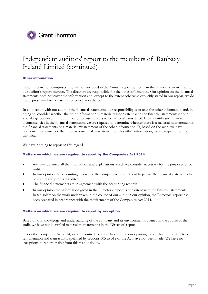

#### **Other information**

Other information comprises information included in the Annual Report, other than the financial statements and our auditor's report thereon. The directors are responsible for the other information. Our opinion on the financial statements does not cover the information and, except to the extent otherwise explicitly stated in our report, we do not express any form of assurance conclusion thereon.

In connection with our audit of the financial statements, our responsibility is to read the other information and, in doing so, consider whether the other information is materially inconsistent with the financial statements or our knowledge obtained in the audit, or otherwise appears to be materially misstated. If we identify such material inconsistencies in the financial statements, we are required to determine whether there is a material misstatement in the financial statements or a material misstatement of the other information. If, based on the work we have performed, we conclude that there is a material misstatement of this other information, we are required to report that fact.

We have nothing to report in this regard.

#### **Matters on which we are required to report by the Companies Act 2014**

- We have obtained all the information and explanations which we consider necessary for the purposes of our audit.
- In our opinion the accounting records of the company were sufficient to permit the financial statements to be readily and properly audited.
- The financial statements are in agreement with the accounting records.
- In our opinion the information given in the Directors' report is consistent with the financial statements. Based solely on the work undertaken in the course of our audit, in our opinion, the Directors' report has been prepared in accordance with the requirements of the Companies Act 2014.

#### **Matters on which we are required to report by exception**

Based on our knowledge and understanding of the company and its environment obtained in the course of the audit, we have not identified material misstatements in the Directors' report.

Under the Companies Act 2014, we are required to report to you if, in our opinion, the disclosures of directors' remuneration and transactions specified by sections 305 to 312 of the Act have not been made. We have no exceptions to report arising from this responsibility.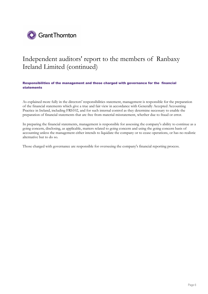

**Responsibilities of the management and those charged with governance for the financial statements**

As explained more fully in the directors' responsibilities statement, management is responsible for the preparation of the financial statements which give a true and fair view in accordance with Generally Accepted Accounting Practice in Ireland, including FRS102, and for such internal control as they determine necessary to enable the preparation of financial statements that are free from material misstatement, whether due to fraud or error.

In preparing the financial statements, management is responsible for assessing the company's ability to continue as a going concern, disclosing, as applicable, matters related to going concern and using the going concern basis of accounting unless the management either intends to liquidate the company or to cease operations, or has no realistic alternative but to do so.

Those charged with governance are responsible for overseeing the company's financial reporting process.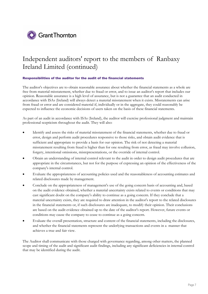

#### **Responsibilities of the auditor for the audit of the financial statements**

The auditor's objectives are to obtain reasonable assurance about whether the financial statements as a whole are free from material misstatement, whether due to fraud or error, and to issue an auditor's report that includes our opinion. Reasonable assurance is a high level of assurance, but is not a guarantee that an audit conducted in accordance with ISAs (Ireland) will always detect a material misstatement when it exists. Misstatements can arise from fraud or error and are considered material if, individually or in the aggregate, they could reasonably be expected to influence the economic decisions of users taken on the basis of these financial statements.

As part of an audit in accordance with ISAs (Ireland), the auditor will exercise professional judgment and maintain professional scepticism throughout the audit. They will also:

- Identify and assess the risks of material misstatement of the financial statements, whether due to fraud or error, design and perform audit procedures responsive to those risks, and obtain audit evidence that is sufficient and appropriate to provide a basis for our opinion. The risk of not detecting a material misstatement resulting from fraud is higher than for one resulting from error, as fraud may involve collusion, forgery, intentional omissions, misrepresentations, or the override of internal control.
- Obtain an understanding of internal control relevant to the audit in order to design audit procedures that are appropriate in the circumstances, but not for the purpose of expressing an opinion of the effectiveness of the company's internal control.
- Evaluate the appropriateness of accounting policies used and the reasonableness of accounting estimates and related disclosures made by management.
- Conclude on the appropriateness of management's use of the going concern basis of accounting and, based on the audit evidence obtained, whether a material uncertainty exists related to events or conditions that may cast significant doubt on the company's ability to continue as a going concern. If they conclude that a material uncertainty exists, they are required to draw attention in the auditor's report to the related disclosures in the financial statements or, if such disclosures are inadequate, to modify their opinion. Their conclusions are based on the audit evidence obtained up to the date of the auditor's report. However, future events or conditions may cause the company to cease to continue as a going concern.
- Evaluate the overall presentation, structure and content of the financial statements, including the disclosures, and whether the financial statements represent the underlying transactions and events in a manner that achieves a true and fair view.

The Auditor shall communicate with those charged with governance regarding, among other matters, the planned scope and timing of the audit and significant audit findings, including any significant deficiencies in internal control that may be identified during the audit.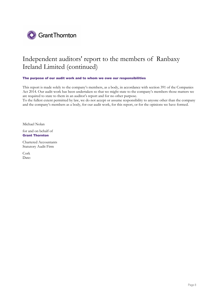

#### **The purpose of our audit work and to whom we owe our responsibilities**

This report is made solely to the company's members, as a body, in accordance with section 391 of the Companies Act 2014. Our audit work has been undertaken so that we might state to the company's members those matters we are required to state to them in an auditor's report and for no other purpose.

To the fullest extent permitted by law, we do not accept or assume responsibility to anyone other than the company and the company's members as a body, for our audit work, for this report, or for the opinions we have formed.

Michael Nolan

for and on behalf of **Grant Thornton**

Chartered Accountants Statutory Audit Firm

Cork Date: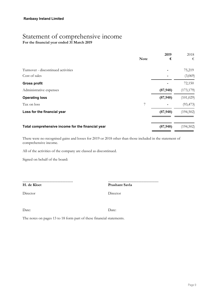### Statement of comprehensive income **For the financial year ended 31 March 2019**

|                                                   | <b>Note</b> | 2019<br>€ | 2018<br>€  |
|---------------------------------------------------|-------------|-----------|------------|
|                                                   |             |           |            |
| Turnover - discontinued activities                |             |           | 75,219     |
| Cost of sales                                     |             |           | (3,069)    |
| <b>Gross profit</b>                               |             |           | 72,150     |
| Administrative expenses                           |             | (87, 948) | (173, 179) |
| <b>Operating loss</b>                             |             | (87, 948) | (101, 029) |
| Tax on loss                                       | 7           |           | (93, 473)  |
| Loss for the financial year                       |             | (87, 948) | (194, 502) |
|                                                   |             |           |            |
| Total comprehensive income for the financial year |             | (87, 948) | (194, 502) |

There were no recognised gains and losses for 2019 or 2018 other than those included in the statement of comprehensive income.

All of the activities of the company are classed as discontinued.

Signed on behalf of the board:

................................................ **H. de Kloet**

................................................ **Prashant Savla**

Director Director

Date: Date: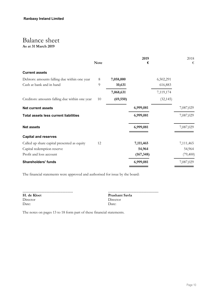### Balance sheet **As at 31 March 2019**

| €         |
|-----------|
|           |
|           |
|           |
|           |
|           |
|           |
| 7,087,029 |
| 7,087,029 |
| 7,087,029 |
|           |
| 7,111,465 |
| 54,964    |
| (79, 400) |
| 7,087,029 |
|           |

The financial statements were approved and authorised for issue by the board:

| H. de Kloet | Prasl |
|-------------|-------|
| Director    | Direc |
| Date:       | Date: |
|             |       |

................................................ **Prashant Savla** Director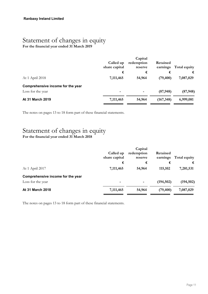## Statement of changes in equity

**For the financial year ended 31 March 2019**

|                                   | Called up<br>share capital<br>€ | Capital<br>redemption<br>reserve<br>€ | Retained<br>earnings<br>€ | Total equity<br>€ |
|-----------------------------------|---------------------------------|---------------------------------------|---------------------------|-------------------|
| At 1 April 2018                   | 7,111,465                       | 54,964                                | (79, 400)                 | 7,087,029         |
| Comprehensive income for the year |                                 |                                       |                           |                   |
| Loss for the year                 | $\blacksquare$                  | $\blacksquare$                        | (87, 948)                 | (87, 948)         |
| <b>At 31 March 2019</b>           | 7,111,465                       | 54,964                                | (167, 348)                | 6,999,081         |

The notes on pages 13 to 18 form part of these financial statements.

## Statement of changes in equity

**For the financial year ended 31 March 2018**

|                                   | Called up<br>share capital | Capital<br>redemption<br>reserve | Retained<br>earnings | Total equity |
|-----------------------------------|----------------------------|----------------------------------|----------------------|--------------|
|                                   | €                          | €                                | €                    | €.           |
| At 1 April 2017                   | 7,111,465                  | 54,964                           | 115,102              | 7,281,531    |
| Comprehensive income for the year |                            |                                  |                      |              |
| Loss for the year                 | $\overline{\phantom{a}}$   | $\overline{\phantom{0}}$         | (194, 502)           | (194, 502)   |
| <b>At 31 March 2018</b>           | 7,111,465                  | 54,964                           | (79, 400)            | 7,087,029    |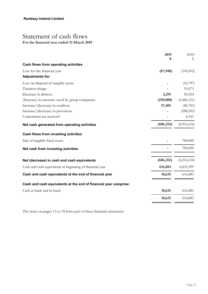## Statement of cash flows

**For the financial year ended 31 March 2019**

|                                                                  | 2019       | 2018        |
|------------------------------------------------------------------|------------|-------------|
|                                                                  | €          | €           |
| Cash flows from operating activities                             |            |             |
| Loss for the financial year                                      | (87, 948)  | (194, 502)  |
| <b>Adjustments for:</b>                                          |            |             |
| Loss on disposal of tangible assets                              |            | (10,797)    |
| Taxation charge                                                  |            | 93,473      |
| Decrease in debtors                                              | 2,291      | 50,554      |
| (Increase) in amounts owed by group companies                    | (558,000)  | (6,486,101) |
| Increase/(decrease) in creditors                                 | 37,405     | (86, 781)   |
| Increase/(decrease) in provisions                                |            | (288, 503)  |
| Corporation tax received                                         |            | 6,141       |
| Net cash generated from operating activities                     | (606, 252) | (6,916,516) |
| Cash flows from investing activities                             |            |             |
| Sale of tangible fixed assets                                    |            | 700,000     |
| Net cash from investing activities                               |            | 700,000     |
| Net (decrease) in cash and cash equivalents                      | (606, 252) | (6,216,516) |
| Cash and cash equivalents at beginning of financial year         | 616,883    | 6,833,399   |
| Cash and cash equivalents at the end of financial year           | 10,631     | 616,883     |
| Cash and cash equivalents at the end of financial year comprise: |            |             |
| Cash at bank and in hand                                         | 10,631     | 616,883     |
|                                                                  | 10,631     | 616,883     |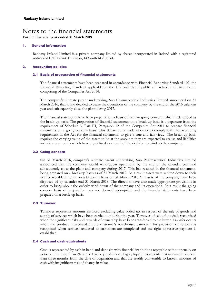## Notes to the financial statements

**For the financial year ended 31 March 2019**

#### **1. General information**

Ranbaxy Ireland Limited is a private company limited by shares incorporated in Ireland with a registered address of C/O Grant Thornton, 14 South Mall, Cork.

#### **2. Accounting policies**

#### **2.1 Basis of preparation of financial statements**

The financial statements have been prepared in accordance with Financial Reporting Standard 102, the Financial Reporting Standard applicable in the UK and the Republic of Ireland and Irish statute comprising of the Companies Act 2014.

The company's ultimate parent undertaking, Sun Pharmaceutical Industries Limited announced on 31 March 2016, that it had decided to cease the operations of the company by the end of the 2016 calendar year and subsequently close the plant during 2017.

The financial statements have been prepared on a basis other than going concern, which is described as the break-up basis. The preparation of financial statements on a break-up basis is a departure from the requirement of Schedule 3, Part III, Paragraph 12 of the Companies Act 2014 to prepare financial statements on a going concern basis. This departure is made in order to comply with the overriding requirement in the Act for the financial statements to give a true and fair view. The break-up basis requires the carrying value of the assets to be at the amounts they are expected to realise and liabilities include any amounts which have crystallised as a result of the decision to wind up the company.

#### **2.2 Going concern**

On 31 March 2016, company's ultimate parent undertaking, Sun Pharmaceutical Industries Limited announced that the company would wind-down operations by the end of the calendar year and subsequently close the plant and company during 2017. This has resulted in the financial statements being prepared on a break-up basis as of 31 March 2019. As a result assets were written down to their net recoverable amount on a break-up basis on 31 March 2016.All assets of the company have been disposed of by calender end 31 March 2018. The directors have also made appropriate provisions in order to bring about the orderly wind-down of the company and its operations. As a result the going concern basis of preparation was not deemed appropriate and the financial statements have been prepared on a break-up basis.

#### **2.3 Turnover**

Turnover represents amounts invoiced excluding value added tax in respect of the sale of goods and supply of services which have been carried out during the year. Turnover of sale of goods is recognised when the significant risks and rewards of ownership have been transferred to the buyer. Transfer occurs when the product is received at the customer's warehouse. Turnover for provision of services is recognised when services rendered to customers are completed and the right to reserve payment is established.

#### **2.4 Cash and cash equivalents**

Cash is represented by cash in hand and deposits with financial institutions repayable without penalty on notice of not more than 24 hours. Cash equivalents are highly liquid investments that mature in no more than three months from the date of acquisition and that are readily convertible to known amounts of cash with insignificant risk of change in value.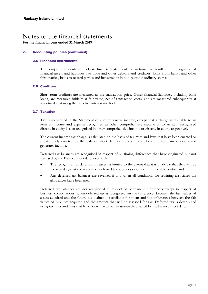### Notes to the financial statements **For the financial year ended 31 March 2019**

#### **2. Accounting policies (continued)**

#### **2.5 Financial instruments**

The company only enters into basic financial instrument transactions that result in the recognition of financial assets and liabilities like trade and other debtors and creditors, loans from banks and other third parties, loans to related parties and investments in non-puttable ordinary shares.

#### **2.6 Creditors**

Short term creditors are measured at the transaction price. Other financial liabilities, including bank loans, are measured initially at fair value, net of transaction costs, and are measured subsequently at amortised cost using the effective interest method.

#### **2.7 Taxation**

Tax is recognised in the Statement of comprehensive income, except that a charge attributable to an item of income and expense recognised as other comprehensive income or to an item recognised directly in equity is also recognised in other comprehensive income or directly in equity respectively.

The current income tax charge is calculated on the basis of tax rates and laws that have been enacted or substantively enacted by the balance sheet date in the countries where the company operates and generates income.

Deferred tax balances are recognised in respect of all timing differences that have originated but not reversed by the Balance sheet date, except that:

- The recognition of deferred tax assets is limited to the extent that it is probable that they will be recovered against the reversal of deferred tax liabilities or other future taxable profits; and
- Any deferred tax balances are reversed if and when all conditions for retaining associated tax allowances have been met.

Deferred tax balances are not recognised in respect of permanent differences except in respect of business combinations, when deferred tax is recognised on the differences between the fair values of assets acquired and the future tax deductions available for them and the differences between the fair values of liabilities acquired and the amount that will be assessed for tax. Deferred tax is determined using tax rates and laws that have been enacted or substantively enacted by the balance sheet date.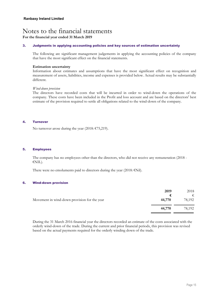## Notes to the financial statements

**For the financial year ended 31 March 2019**

#### **3. Judgments in applying accounting policies and key sources of estimation uncertainty**

The following are significant management judgements in applying the accounting policies of the company that have the most significant effect on the financial statements.

#### **Estimation uncertainty**

Information about estimates and assumptions that have the most significant effect on recognition and measurement of assets, liabilities, income and expenses is provided below. Actual results may be substantially different.

#### *Wind-down provision*

The directors have recorded costs that will be incurred in order to wind-down the operations of the company. These costs have been included in the Profit and loss account and are based on the directors' best estimate of the provision required to settle all obligations related to the wind-down of the company.

#### **4. Turnover**

No turnover arose during the year (2018:  $E$ 75,219).

#### **5. Employees**

The company has no employees other than the directors, who did not receive any remuneration (2018 - €NIL).

There were no emoluments paid to directors during the year (2018:  $\epsilon$ Nil).

#### **6. Wind-down provision**

|                                              | 2019   | 2018   |
|----------------------------------------------|--------|--------|
|                                              | €.     | €      |
| Movement in wind-down provision for the year | 44,770 | 78,192 |
|                                              | 44,770 | 78.192 |

During the 31 March 2016 financial year the directors recorded an estimate of the costs associated with the orderly wind-down of the trade. During the current and prior financial periods, this provision was revised based on the actual payments required for the orderly winding down of the trade.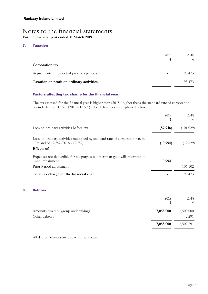### Notes to the financial statements **For the financial year ended 31 March 2019**

#### **7. Taxation**

**8. Debtors**

| 2019<br>€ | 2018<br>€ |
|-----------|-----------|
|           |           |
| ۰         | 93,473    |
|           | 93,473    |
|           |           |

#### **Factors affecting tax charge for the financial year**

The tax assessed for the financial year is higher than (2018 - higher than) the standard rate of corporation tax in Ireland of 12.5% (2018 - 12.5%). The differences are explained below:

|                                                                                                                                 | 2019<br>€ | 2018<br>€  |
|---------------------------------------------------------------------------------------------------------------------------------|-----------|------------|
| Loss on ordinary activities before tax                                                                                          | (87, 948) | (101, 029) |
| Loss on ordinary activities multiplied by standard rate of corporation tax in<br>Ireland of 12.5% (2018 - 12.5%)<br>Effects of: | (10, 994) | (12,629)   |
| Expenses not deductible for tax purposes, other than goodwill amortisation<br>and impairment                                    | 10,994    |            |
| Prior Period adjustment                                                                                                         |           | 106,102    |
| Total tax charge for the financial year                                                                                         |           | 93,473     |
| <b>Debtors</b>                                                                                                                  |           |            |
|                                                                                                                                 | 2019<br>€ | 2018<br>€  |
| Amounts owed by group undertakings                                                                                              | 7,058,000 | 6,500,000  |
| Other debtors                                                                                                                   |           | 2,291      |
|                                                                                                                                 | 7,058,000 | 6,502,291  |

All debtor balances are due within one year.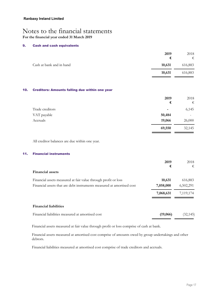## Notes to the financial statements

**For the financial year ended 31 March 2019**

#### **9. Cash and cash equivalents**

|                          | 2019<br>€ | 2018<br>€ |
|--------------------------|-----------|-----------|
| Cash at bank and in hand | 10,631    | 616,883   |
|                          | 10,631    | 616,883   |

#### **10. Creditors: Amounts falling due within one year**

|                 | 2019                     | 2018                     |
|-----------------|--------------------------|--------------------------|
|                 | €                        | €                        |
| Trade creditors | $\overline{\phantom{a}}$ | 6,145                    |
| VAT payable     | 50,484                   | $\overline{\phantom{a}}$ |
| Accruals        | 19,066                   | 26,000                   |
|                 | 69,550                   | 32,145                   |

All creditor balances are due within one year.

#### **11. Financial instruments**

|                                                                       | 2019      | 2018      |
|-----------------------------------------------------------------------|-----------|-----------|
| <b>Financial assets</b>                                               | €         | €         |
| Financial assets measured at fair value through profit or loss        | 10,631    | 616,883   |
| Financial assets that are debt instruments measured at amortised cost | 7,058,000 | 6,502,291 |
|                                                                       | 7,068,631 | 7,119,174 |
| <b>Financial liabilities</b>                                          |           |           |
| Financial liabilities measured at amortised cost                      | (19,066)  | (32,145)  |

Financial assets measured at fair value through profit or loss comprise of cash at bank.

Financial assets measured at amortised cost comprise of amounts owed by group undertakings and other debtors.

Financial liabilities measured at amortised cost comprise of trade creditors and accruals.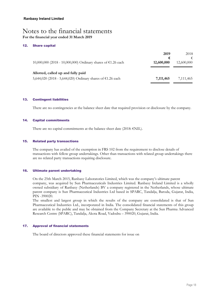### Notes to the financial statements **For the financial year ended 31 March 2019**

#### **12. Share capital**

|                                                              | 2019       | 2018       |
|--------------------------------------------------------------|------------|------------|
|                                                              | €          |            |
| 10,000,000 (2018 - 10,000,000) Ordinary shares of €1.26 each | 12,600,000 | 12,600,000 |
|                                                              |            |            |
| Allotted, called up and fully paid                           |            |            |
| 5,644,020 (2018 - 5,644,020) Ordinary shares of €1.26 each   | 7,111,465  | 7,111,465  |

#### **13. Contingent liabilities**

There are no contingencies at the balance sheet date that required provision or disclosure by the company.

#### **14. Capital commitments**

There are no capital commitments at the balance sheet date (2018:  $\epsilon$ NIL).

#### **15. Related party transactions**

The company has availed of the exemption in FRS 102 from the requirement to disclose details of transactions with fellow group undertakings. Other than transactions with related group undertakings there are no related party transactions requiring disclosure.

#### **16. Ultimate parent undertaking**

On the 25th March 2015, Ranbaxy Laboratories Limited, which was the company's ultimate parent company, was acquired by Sun Pharmaceuticals Industries Limited. Ranbaxy Ireland Limited is a wholly owned subsidiary of Ranbaxy (Netherlands) BV a company registered in the Netherlands, whose ultimate parent company is Sun Pharmaceutical Industries Ltd based in SPARC, Tandalja, Baroda, Gujarat, India, PIN -390020.

The smallest and largest group in which the results of the company are consolidated is that of Sun Pharmaceutical Industries Ltd., incorporated in India. The consolidated financial statements of this group are available to the public and may be obtained from the Company Secretary at the Sun Pharma Advanced Research Centre (SPARC), Tandalja, Akota Road, Vadodra – 390020, Gujarat, India.

#### **17. Approval of financial statements**

The board of directors approved these financial statements for issue on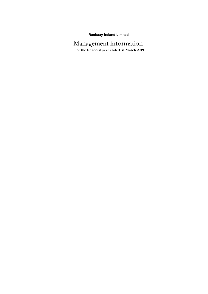### **Ranbaxy Ireland Limited**

Management information **For the financial year ended 31 March 2019**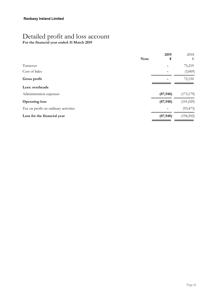## Detailed profit and loss account

**For the financial year ended 31 March 2019**

| 2019<br>€ | 2018<br>€   |
|-----------|-------------|
|           | 75,219      |
|           | (3,069)     |
|           | 72,150      |
|           |             |
| (87, 948) | (173, 179)  |
| (87, 948) | (101, 029)  |
|           | (93, 473)   |
| (87, 948) | (194, 502)  |
|           | <b>Note</b> |